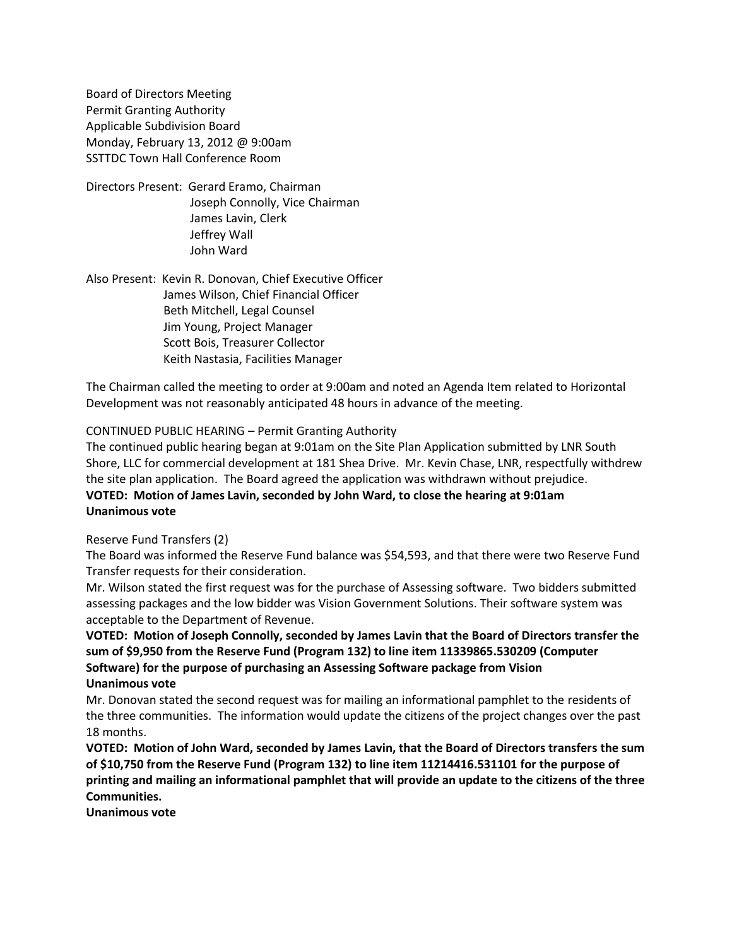Board of Directors Meeting Permit Granting Authority Applicable Subdivision Board Monday, February 13, 2012 @ 9:00am SSTTDC Town Hall Conference Room

Directors Present: Gerard Eramo, Chairman Joseph Connolly, Vice Chairman James Lavin, Clerk Jeffrey Wall John Ward

Also Present: Kevin R. Donovan, Chief Executive Officer James Wilson, Chief Financial Officer Beth Mitchell, Legal Counsel Jim Young, Project Manager Scott Bois, Treasurer Collector Keith Nastasia, Facilities Manager

The Chairman called the meeting to order at 9:00am and noted an Agenda Item related to Horizontal Development was not reasonably anticipated 48 hours in advance of the meeting.

## CONTINUED PUBLIC HEARING – Permit Granting Authority

The continued public hearing began at 9:01am on the Site Plan Application submitted by LNR South Shore, LLC for commercial development at 181 Shea Drive. Mr. Kevin Chase, LNR, respectfully withdrew the site plan application. The Board agreed the application was withdrawn without prejudice. **VOTED: Motion of James Lavin, seconded by John Ward, to close the hearing at 9:01am Unanimous vote**

## Reserve Fund Transfers (2)

The Board was informed the Reserve Fund balance was \$54,593, and that there were two Reserve Fund Transfer requests for their consideration.

Mr. Wilson stated the first request was for the purchase of Assessing software. Two bidders submitted assessing packages and the low bidder was Vision Government Solutions. Their software system was acceptable to the Department of Revenue.

**VOTED: Motion of Joseph Connolly, seconded by James Lavin that the Board of Directors transfer the sum of \$9,950 from the Reserve Fund (Program 132) to line item 11339865.530209 (Computer Software) for the purpose of purchasing an Assessing Software package from Vision Unanimous vote**

Mr. Donovan stated the second request was for mailing an informational pamphlet to the residents of the three communities. The information would update the citizens of the project changes over the past 18 months.

**VOTED: Motion of John Ward, seconded by James Lavin, that the Board of Directors transfers the sum of \$10,750 from the Reserve Fund (Program 132) to line item 11214416.531101 for the purpose of printing and mailing an informational pamphlet that will provide an update to the citizens of the three Communities.**

**Unanimous vote**